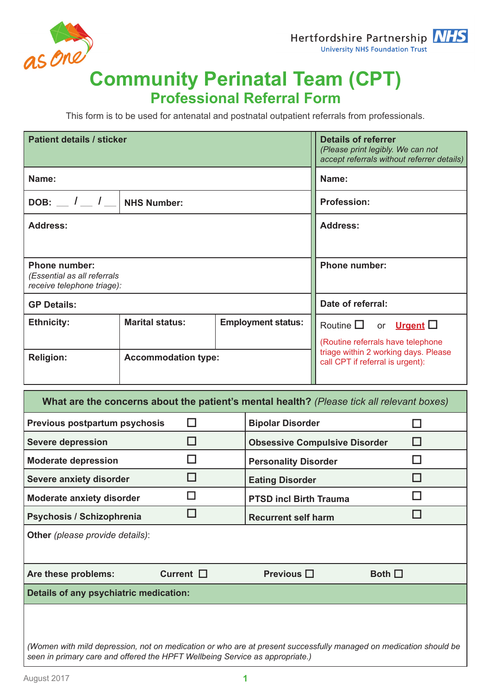



## **Community Perinatal Team (CPT) Professional Referral Form**

This form is to be used for antenatal and postnatal outpatient referrals from professionals.

| <b>Patient details / sticker</b>                                                  |                            | <b>Details of referrer</b><br>(Please print legibly. We can not<br>accept referrals without referrer details) |                                                                           |  |
|-----------------------------------------------------------------------------------|----------------------------|---------------------------------------------------------------------------------------------------------------|---------------------------------------------------------------------------|--|
| Name:                                                                             |                            |                                                                                                               | Name:                                                                     |  |
| DOB: $\_$ / $\_$ / $\_$  <br><b>NHS Number:</b>                                   |                            |                                                                                                               | <b>Profession:</b>                                                        |  |
| <b>Address:</b>                                                                   |                            |                                                                                                               | <b>Address:</b>                                                           |  |
|                                                                                   |                            |                                                                                                               |                                                                           |  |
| <b>Phone number:</b><br>(Essential as all referrals<br>receive telephone triage): |                            |                                                                                                               | <b>Phone number:</b>                                                      |  |
| <b>GP Details:</b>                                                                |                            |                                                                                                               | Date of referral:                                                         |  |
| <b>Ethnicity:</b>                                                                 | <b>Marital status:</b>     | <b>Employment status:</b>                                                                                     | Routine $\square$<br>or <b>Urgent</b> $\Box$                              |  |
|                                                                                   |                            |                                                                                                               | (Routine referrals have telephone<br>triage within 2 working days. Please |  |
| <b>Religion:</b>                                                                  | <b>Accommodation type:</b> |                                                                                                               | call CPT if referral is urgent):                                          |  |

| What are the concerns about the patient's mental health? (Please tick all relevant boxes)                                                                                                         |                                                                                                                                                                                                                                |                                      |                |  |  |  |
|---------------------------------------------------------------------------------------------------------------------------------------------------------------------------------------------------|--------------------------------------------------------------------------------------------------------------------------------------------------------------------------------------------------------------------------------|--------------------------------------|----------------|--|--|--|
| Previous postpartum psychosis                                                                                                                                                                     |                                                                                                                                                                                                                                | <b>Bipolar Disorder</b>              |                |  |  |  |
| <b>Severe depression</b>                                                                                                                                                                          |                                                                                                                                                                                                                                | <b>Obsessive Compulsive Disorder</b> |                |  |  |  |
| <b>Moderate depression</b>                                                                                                                                                                        |                                                                                                                                                                                                                                | <b>Personality Disorder</b>          |                |  |  |  |
| <b>Severe anxiety disorder</b>                                                                                                                                                                    |                                                                                                                                                                                                                                | <b>Eating Disorder</b>               |                |  |  |  |
| <b>Moderate anxiety disorder</b>                                                                                                                                                                  | n and the state of the state of the state of the state of the state of the state of the state of the state of the state of the state of the state of the state of the state of the state of the state of the state of the stat | <b>PTSD incl Birth Trauma</b>        |                |  |  |  |
| Psychosis / Schizophrenia                                                                                                                                                                         |                                                                                                                                                                                                                                | <b>Recurrent self harm</b>           |                |  |  |  |
| Other (please provide details):                                                                                                                                                                   |                                                                                                                                                                                                                                |                                      |                |  |  |  |
|                                                                                                                                                                                                   |                                                                                                                                                                                                                                |                                      |                |  |  |  |
| Are these problems:                                                                                                                                                                               | Current $\square$                                                                                                                                                                                                              | Previous $\square$                   | Both $\square$ |  |  |  |
| Details of any psychiatric medication:                                                                                                                                                            |                                                                                                                                                                                                                                |                                      |                |  |  |  |
|                                                                                                                                                                                                   |                                                                                                                                                                                                                                |                                      |                |  |  |  |
|                                                                                                                                                                                                   |                                                                                                                                                                                                                                |                                      |                |  |  |  |
| (Women with mild depression, not on medication or who are at present successfully managed on medication should be<br>seen in primary care and offered the HPFT Wellbeing Service as appropriate.) |                                                                                                                                                                                                                                |                                      |                |  |  |  |